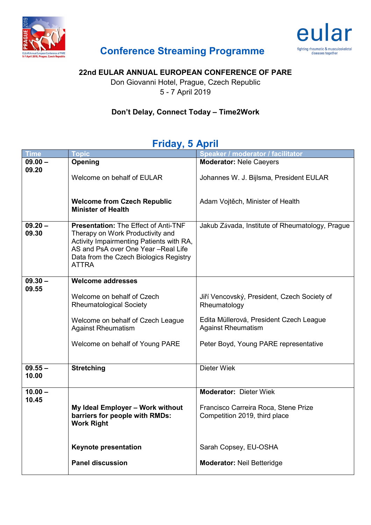



## **Conference Streaming Programme**

#### **22nd EULAR ANNUAL EUROPEAN CONFERENCE OF PARE**

Don Giovanni Hotel, Prague, Czech Republic 5 - 7 April 2019

#### **Don't Delay, Connect Today – Time2Work**

## **Friday, 5 April**

| <b>Time</b>        | <b>Topic</b>                                                                                                                                                                                                                 | Speaker / moderator / facilitator                                     |
|--------------------|------------------------------------------------------------------------------------------------------------------------------------------------------------------------------------------------------------------------------|-----------------------------------------------------------------------|
| $09.00 -$          | Opening                                                                                                                                                                                                                      | <b>Moderator: Nele Caeyers</b>                                        |
| 09.20              | Welcome on behalf of EULAR                                                                                                                                                                                                   | Johannes W. J. Bijlsma, President EULAR                               |
|                    | <b>Welcome from Czech Republic</b><br><b>Minister of Health</b>                                                                                                                                                              | Adam Vojtěch, Minister of Health                                      |
| $09.20 -$<br>09.30 | <b>Presentation: The Effect of Anti-TNF</b><br>Therapy on Work Productivity and<br>Activity Impairmenting Patients with RA,<br>AS and PsA over One Year -Real Life<br>Data from the Czech Biologics Registry<br><b>ATTRA</b> | Jakub Závada, Institute of Rheumatology, Prague                       |
| $09.30 -$          | <b>Welcome addresses</b>                                                                                                                                                                                                     |                                                                       |
| 09.55              | Welcome on behalf of Czech<br><b>Rheumatological Society</b>                                                                                                                                                                 | Jiří Vencovský, President, Czech Society of<br>Rheumatology           |
|                    | Welcome on behalf of Czech League<br><b>Against Rheumatism</b>                                                                                                                                                               | Edita Müllerová, President Czech League<br><b>Against Rheumatism</b>  |
|                    | Welcome on behalf of Young PARE                                                                                                                                                                                              | Peter Boyd, Young PARE representative                                 |
| $09.55 -$<br>10.00 | <b>Stretching</b>                                                                                                                                                                                                            | <b>Dieter Wiek</b>                                                    |
| $10.00 -$          |                                                                                                                                                                                                                              | <b>Moderator: Dieter Wiek</b>                                         |
| 10.45              | My Ideal Employer - Work without<br>barriers for people with RMDs:<br><b>Work Right</b>                                                                                                                                      | Francisco Carreira Roca, Stene Prize<br>Competition 2019, third place |
|                    | <b>Keynote presentation</b>                                                                                                                                                                                                  | Sarah Copsey, EU-OSHA                                                 |
|                    |                                                                                                                                                                                                                              |                                                                       |
|                    | <b>Panel discussion</b>                                                                                                                                                                                                      | <b>Moderator: Neil Betteridge</b>                                     |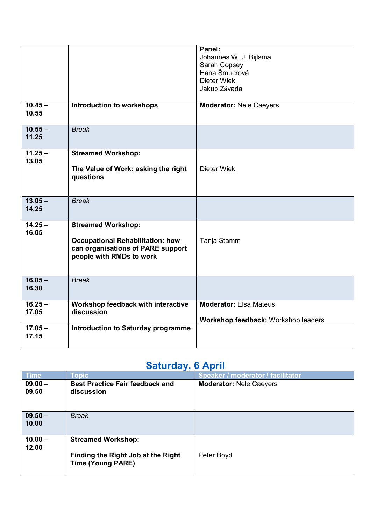| $10.45 -$                     |                                                                                                                                       | Panel:<br>Johannes W. J. Bijlsma<br>Sarah Copsey<br>Hana Šmucrová<br><b>Dieter Wiek</b><br>Jakub Závada |
|-------------------------------|---------------------------------------------------------------------------------------------------------------------------------------|---------------------------------------------------------------------------------------------------------|
| 10.55                         | <b>Introduction to workshops</b>                                                                                                      | <b>Moderator: Nele Caeyers</b>                                                                          |
| $10.55 -$<br>11.25            | <b>Break</b>                                                                                                                          |                                                                                                         |
| $11.25 -$<br>13.05            | <b>Streamed Workshop:</b><br>The Value of Work: asking the right<br>questions                                                         | <b>Dieter Wiek</b>                                                                                      |
| $13.05 -$<br>14.25            | <b>Break</b>                                                                                                                          |                                                                                                         |
| $\overline{14.25}$ –<br>16.05 | <b>Streamed Workshop:</b><br><b>Occupational Rehabilitation: how</b><br>can organisations of PARE support<br>people with RMDs to work | Tanja Stamm                                                                                             |
| $16.05 -$<br>16.30            | <b>Break</b>                                                                                                                          |                                                                                                         |
| $16.25 -$<br>17.05            | Workshop feedback with interactive<br>discussion                                                                                      | <b>Moderator: Elsa Mateus</b><br>Workshop feedback: Workshop leaders                                    |
| $17.05 -$<br>17.15            | <b>Introduction to Saturday programme</b>                                                                                             |                                                                                                         |

# **Saturday, 6 April**

| - , ,              |                                                                                             |                                   |  |
|--------------------|---------------------------------------------------------------------------------------------|-----------------------------------|--|
| <b>Time</b>        | Topic                                                                                       | Speaker / moderator / facilitator |  |
| $09.00 -$<br>09.50 | <b>Best Practice Fair feedback and</b><br>discussion                                        | <b>Moderator: Nele Caeyers</b>    |  |
| $09.50 -$<br>10.00 | <b>Break</b>                                                                                |                                   |  |
| $10.00 -$<br>12.00 | <b>Streamed Workshop:</b><br>Finding the Right Job at the Right<br><b>Time (Young PARE)</b> | Peter Boyd                        |  |